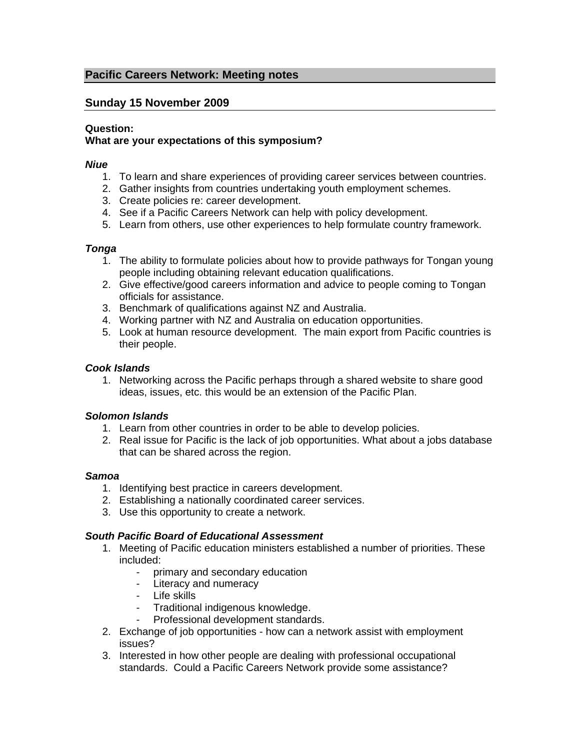# **Pacific Careers Network: Meeting notes**

# **Sunday 15 November 2009**

### **Question:**

# **What are your expectations of this symposium?**

### *Niue*

- 1. To learn and share experiences of providing career services between countries.
- 2. Gather insights from countries undertaking youth employment schemes.
- 3. Create policies re: career development.
- 4. See if a Pacific Careers Network can help with policy development.
- 5. Learn from others, use other experiences to help formulate country framework.

### *Tonga*

- 1. The ability to formulate policies about how to provide pathways for Tongan young people including obtaining relevant education qualifications.
- 2. Give effective/good careers information and advice to people coming to Tongan officials for assistance.
- 3. Benchmark of qualifications against NZ and Australia.
- 4. Working partner with NZ and Australia on education opportunities.
- 5. Look at human resource development. The main export from Pacific countries is their people.

### *Cook Islands*

1. Networking across the Pacific perhaps through a shared website to share good ideas, issues, etc. this would be an extension of the Pacific Plan.

### *Solomon Islands*

- 1. Learn from other countries in order to be able to develop policies.
- 2. Real issue for Pacific is the lack of job opportunities. What about a jobs database that can be shared across the region.

### *Samoa*

- 1. Identifying best practice in careers development.
- 2. Establishing a nationally coordinated career services.
- 3. Use this opportunity to create a network.

## *South Pacific Board of Educational Assessment*

- 1. Meeting of Pacific education ministers established a number of priorities. These included:
	- primary and secondary education
	- Literacy and numeracy
	- Life skills
	- Traditional indigenous knowledge.
	- Professional development standards.
- 2. Exchange of job opportunities how can a network assist with employment issues?
- 3. Interested in how other people are dealing with professional occupational standards. Could a Pacific Careers Network provide some assistance?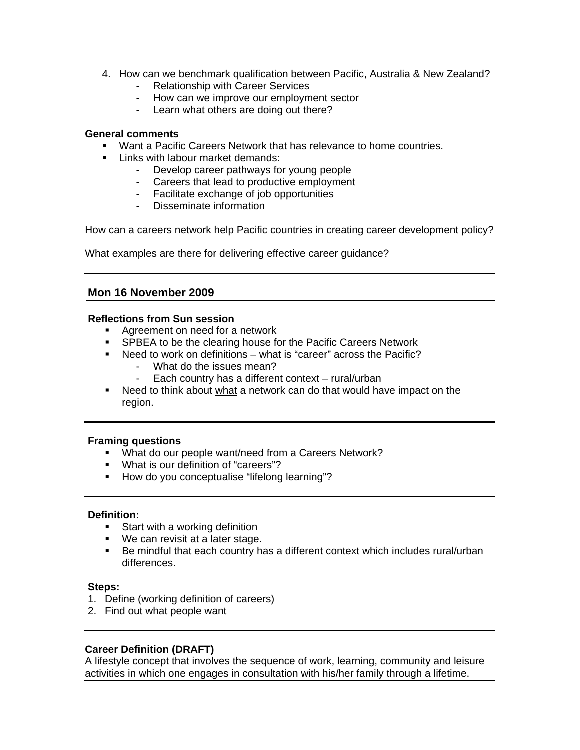- 4. How can we benchmark qualification between Pacific, Australia & New Zealand?
	- Relationship with Career Services
	- How can we improve our employment sector
	- Learn what others are doing out there?

### **General comments**

- **Want a Pacific Careers Network that has relevance to home countries.**
- **EXEC** Links with labour market demands:
	- Develop career pathways for young people
	- Careers that lead to productive employment
	- Facilitate exchange of job opportunities
	- Disseminate information

How can a careers network help Pacific countries in creating career development policy?

What examples are there for delivering effective career guidance?

# **Mon 16 November 2009**

### **Reflections from Sun session**

- Agreement on need for a network
- **SPBEA to be the clearing house for the Pacific Careers Network**
- Need to work on definitions what is "career" across the Pacific?
	- What do the issues mean?
	- Each country has a different context rural/urban
- Need to think about what a network can do that would have impact on the region.

### **Framing questions**

- What do our people want/need from a Careers Network?
- What is our definition of "careers"?
- **How do you conceptualise "lifelong learning"?**

## **Definition:**

- **Start with a working definition**
- We can revisit at a later stage.
- Be mindful that each country has a different context which includes rural/urban differences.

### **Steps:**

- 1. Define (working definition of careers)
- 2. Find out what people want

## **Career Definition (DRAFT)**

A lifestyle concept that involves the sequence of work, learning, community and leisure activities in which one engages in consultation with his/her family through a lifetime.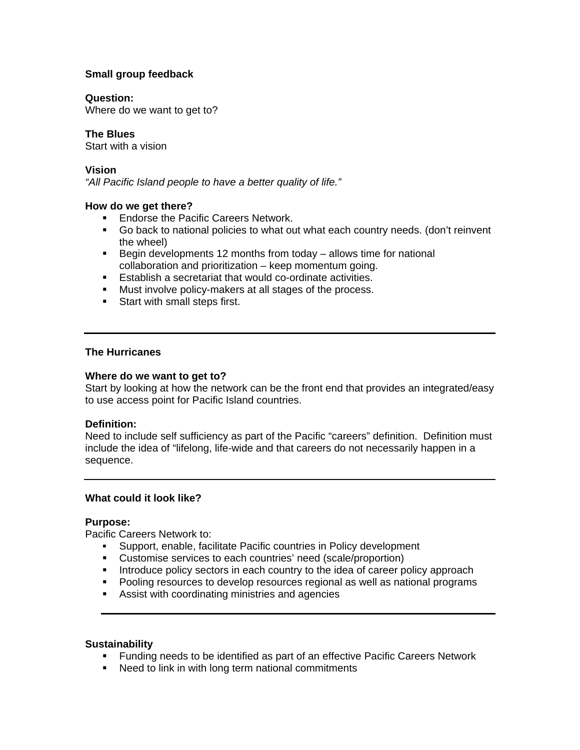## **Small group feedback**

#### **Question:**

Where do we want to get to?

### **The Blues**

Start with a vision

### **Vision**

*"All Pacific Island people to have a better quality of life."* 

### **How do we get there?**

- **Endorse the Pacific Careers Network.**
- Go back to national policies to what out what each country needs. (don't reinvent the wheel)
- Begin developments 12 months from today allows time for national collaboration and prioritization – keep momentum going.
- Establish a secretariat that would co-ordinate activities.
- **Must involve policy-makers at all stages of the process.**
- **Start with small steps first.**

### **The Hurricanes**

#### **Where do we want to get to?**

Start by looking at how the network can be the front end that provides an integrated/easy to use access point for Pacific Island countries.

### **Definition:**

Need to include self sufficiency as part of the Pacific "careers" definition. Definition must include the idea of "lifelong, life-wide and that careers do not necessarily happen in a sequence.

### **What could it look like?**

### **Purpose:**

Pacific Careers Network to:

- Support, enable, facilitate Pacific countries in Policy development
- Customise services to each countries' need (scale/proportion)
- **Introduce policy sectors in each country to the idea of career policy approach**
- Pooling resources to develop resources regional as well as national programs
- Assist with coordinating ministries and agencies

### **Sustainability**

- **Funding needs to be identified as part of an effective Pacific Careers Network**
- Need to link in with long term national commitments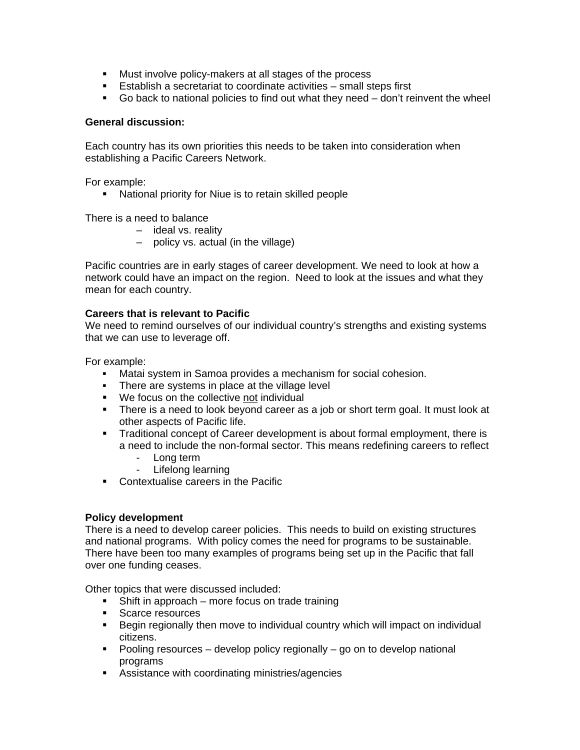- **Must involve policy-makers at all stages of the process**
- Establish a secretariat to coordinate activities small steps first
- Go back to national policies to find out what they need don't reinvent the wheel

### **General discussion:**

Each country has its own priorities this needs to be taken into consideration when establishing a Pacific Careers Network.

For example:

National priority for Niue is to retain skilled people

There is a need to balance

- ideal vs. reality
- policy vs. actual (in the village)

Pacific countries are in early stages of career development. We need to look at how a network could have an impact on the region. Need to look at the issues and what they mean for each country.

### **Careers that is relevant to Pacific**

We need to remind ourselves of our individual country's strengths and existing systems that we can use to leverage off.

For example:

- Matai system in Samoa provides a mechanism for social cohesion.
- There are systems in place at the village level
- We focus on the collective not individual
- There is a need to look beyond career as a job or short term goal. It must look at other aspects of Pacific life.
- **Traditional concept of Career development is about formal employment, there is** a need to include the non-formal sector. This means redefining careers to reflect
	- Long term
	- Lifelong learning
- Contextualise careers in the Pacific

### **Policy development**

There is a need to develop career policies. This needs to build on existing structures and national programs. With policy comes the need for programs to be sustainable. There have been too many examples of programs being set up in the Pacific that fall over one funding ceases.

Other topics that were discussed included:

- Shift in approach more focus on trade training
- **Scarce resources**
- Begin regionally then move to individual country which will impact on individual citizens.
- $\blacksquare$  Pooling resources develop policy regionally go on to develop national programs
- **Assistance with coordinating ministries/agencies**